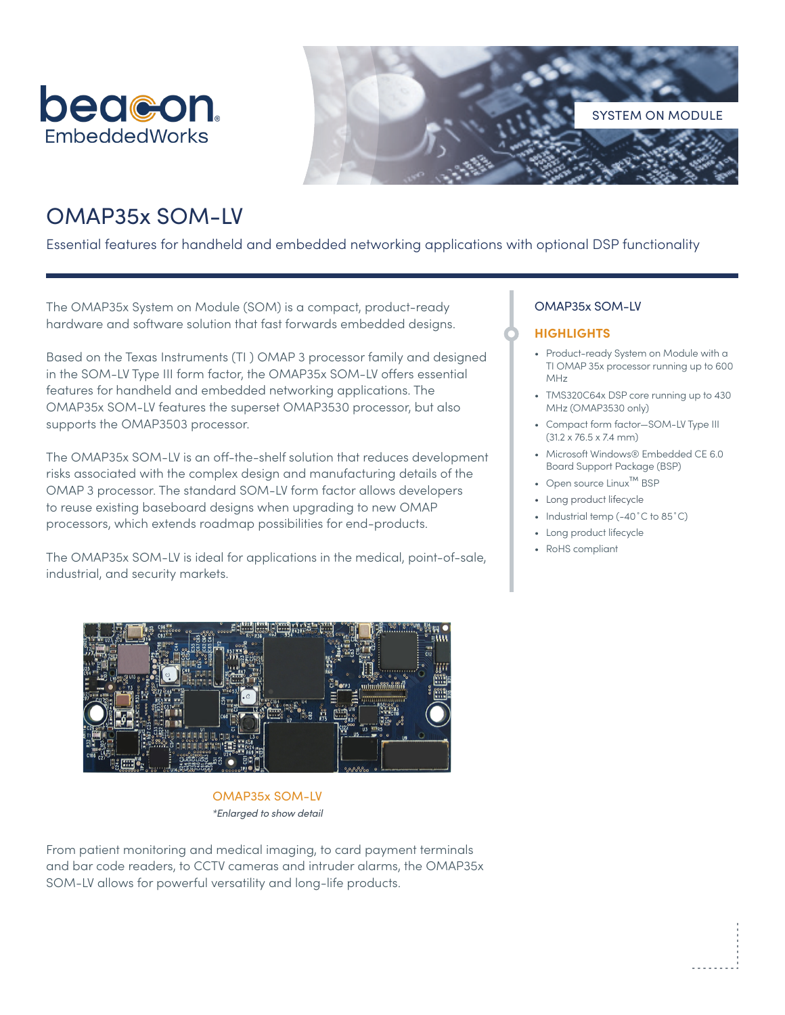



# OMAP35x SOM-LV

Essential features for handheld and embedded networking applications with optional DSP functionality

The OMAP35x System on Module (SOM) is a compact, product-ready hardware and software solution that fast forwards embedded designs.

Based on the Texas Instruments (TI ) OMAP 3 processor family and designed in the SOM-LV Type III form factor, the OMAP35x SOM-LV offers essential features for handheld and embedded networking applications. The OMAP35x SOM-LV features the superset OMAP3530 processor, but also supports the OMAP3503 processor.

The OMAP35x SOM-LV is an off-the-shelf solution that reduces development risks associated with the complex design and manufacturing details of the OMAP 3 processor. The standard SOM-LV form factor allows developers to reuse existing baseboard designs when upgrading to new OMAP processors, which extends roadmap possibilities for end-products.

The OMAP35x SOM-LV is ideal for applications in the medical, point-of-sale, industrial, and security markets.

# OMAP35x SOM-LV

# **HIGHLIGHTS**

- Product-ready System on Module with a TI OMAP 35x processor running up to 600 MHz
- TMS320C64x DSP core running up to 430 MHz (OMAP3530 only)
- Compact form factor—SOM-LV Type III (31.2 x 76.5 x 7.4 mm)
- Microsoft Windows® Embedded CE 6.0 Board Support Package (BSP)
- Open source Linux™ BSP
- Long product lifecycle
- Industrial temp (-40°C to 85°C)
- Long product lifecycle
- RoHS compliant



OMAP35x SOM-LV *\*Enlarged to show detail*

From patient monitoring and medical imaging, to card payment terminals and bar code readers, to CCTV cameras and intruder alarms, the OMAP35x SOM-LV allows for powerful versatility and long-life products.